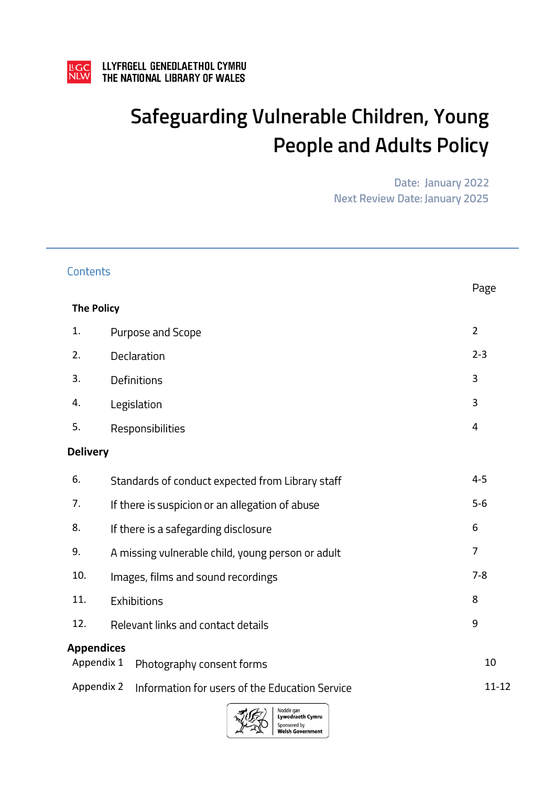

# Safeguarding Vulnerable Children, Young **People and Adults Policy**

Date: January 2022 **Next Review Date: January 2025** 

| Contents          |                                                              | Page           |  |  |  |
|-------------------|--------------------------------------------------------------|----------------|--|--|--|
| <b>The Policy</b> |                                                              |                |  |  |  |
| 1.                | Purpose and Scope                                            | $\overline{2}$ |  |  |  |
| 2.                | Declaration                                                  | $2 - 3$        |  |  |  |
| 3.                | Definitions                                                  | 3              |  |  |  |
| 4.                | Legislation                                                  | 3              |  |  |  |
| 5.                | Responsibilities                                             |                |  |  |  |
| <b>Delivery</b>   |                                                              |                |  |  |  |
| 6.                | Standards of conduct expected from Library staff             |                |  |  |  |
| 7.                | If there is suspicion or an allegation of abuse              | $5-6$          |  |  |  |
| 8.                | If there is a safegarding disclosure                         |                |  |  |  |
| 9.                | A missing vulnerable child, young person or adult            |                |  |  |  |
| 10.               | Images, films and sound recordings                           |                |  |  |  |
| 11.               | Exhibitions                                                  |                |  |  |  |
| 12.               | Relevant links and contact details                           | 9              |  |  |  |
|                   | <b>Appendices</b><br>Appendix 1<br>Photography consent forms | 10             |  |  |  |
|                   | Appendix 2<br>Information for users of the Education Service | $11 - 12$      |  |  |  |
|                   | Noddir gan<br>303<br><b>Lywodraeth Cymru</b>                 |                |  |  |  |

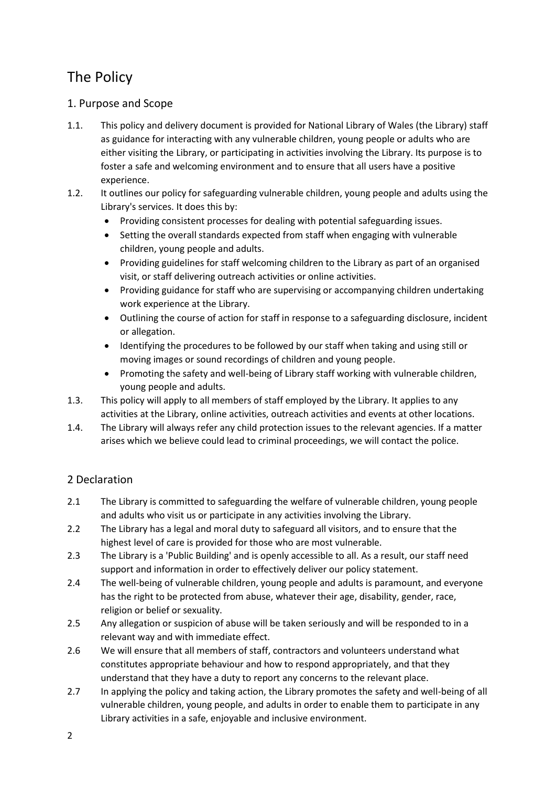# The Policy

# 1. Purpose and Scope

- 1.1. This policy and delivery document is provided for National Library of Wales (the Library) staff as guidance for interacting with any vulnerable children, young people or adults who are either visiting the Library, or participating in activities involving the Library. Its purpose is to foster a safe and welcoming environment and to ensure that all users have a positive experience.
- 1.2. It outlines our policy for safeguarding vulnerable children, young people and adults using the Library's services. It does this by:
	- Providing consistent processes for dealing with potential safeguarding issues.
	- Setting the overall standards expected from staff when engaging with vulnerable children, young people and adults.
	- Providing guidelines for staff welcoming children to the Library as part of an organised visit, or staff delivering outreach activities or online activities.
	- Providing guidance for staff who are supervising or accompanying children undertaking work experience at the Library.
	- Outlining the course of action for staff in response to a safeguarding disclosure, incident or allegation.
	- Identifying the procedures to be followed by our staff when taking and using still or moving images or sound recordings of children and young people.
	- Promoting the safety and well-being of Library staff working with vulnerable children, young people and adults.
- 1.3. This policy will apply to all members of staff employed by the Library. It applies to any activities at the Library, online activities, outreach activities and events at other locations.
- 1.4. The Library will always refer any child protection issues to the relevant agencies. If a matter arises which we believe could lead to criminal proceedings, we will contact the police.

## 2 Declaration

- 2.1 The Library is committed to safeguarding the welfare of vulnerable children, young people and adults who visit us or participate in any activities involving the Library.
- 2.2 The Library has a legal and moral duty to safeguard all visitors, and to ensure that the highest level of care is provided for those who are most vulnerable.
- 2.3 The Library is a 'Public Building' and is openly accessible to all. As a result, our staff need support and information in order to effectively deliver our policy statement.
- 2.4 The well-being of vulnerable children, young people and adults is paramount, and everyone has the right to be protected from abuse, whatever their age, disability, gender, race, religion or belief or sexuality.
- 2.5 Any allegation or suspicion of abuse will be taken seriously and will be responded to in a relevant way and with immediate effect.
- 2.6 We will ensure that all members of staff, contractors and volunteers understand what constitutes appropriate behaviour and how to respond appropriately, and that they understand that they have a duty to report any concerns to the relevant place.
- 2.7 In applying the policy and taking action, the Library promotes the safety and well-being of all vulnerable children, young people, and adults in order to enable them to participate in any Library activities in a safe, enjoyable and inclusive environment.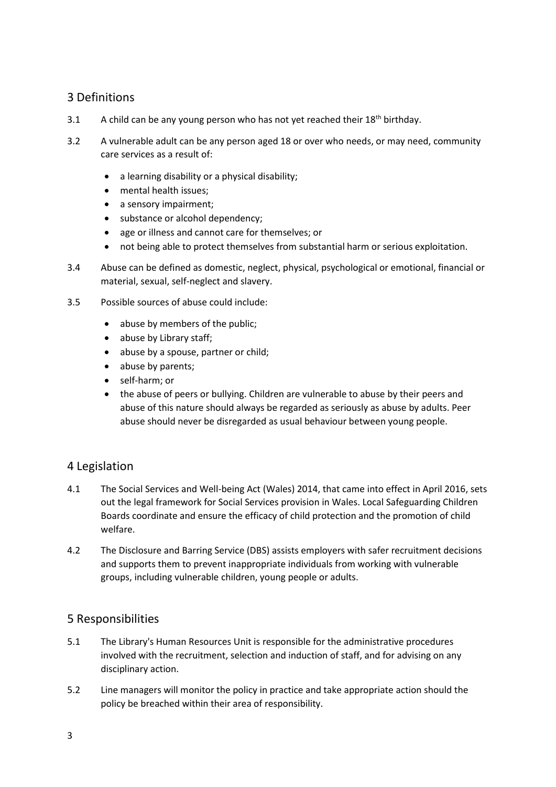## 3 Definitions

- 3.1 A child can be any young person who has not yet reached their  $18<sup>th</sup>$  birthday.
- 3.2 A vulnerable adult can be any person aged 18 or over who needs, or may need, community care services as a result of:
	- a learning disability or a physical disability;
	- mental health issues;
	- a sensory impairment:
	- substance or alcohol dependency;
	- age or illness and cannot care for themselves; or
	- not being able to protect themselves from substantial harm or serious exploitation.
- 3.4 Abuse can be defined as domestic, neglect, physical, psychological or emotional, financial or material, sexual, self-neglect and slavery.
- 3.5 Possible sources of abuse could include:
	- abuse by members of the public;
	- abuse by Library staff;
	- abuse by a spouse, partner or child;
	- abuse by parents;
	- self-harm: or
	- the abuse of peers or bullying. Children are vulnerable to abuse by their peers and abuse of this nature should always be regarded as seriously as abuse by adults. Peer abuse should never be disregarded as usual behaviour between young people.

## 4 Legislation

- 4.1 The Social Services and Well-being Act (Wales) 2014, that came into effect in April 2016, sets out the legal framework for Social Services provision in Wales. Local Safeguarding Children Boards coordinate and ensure the efficacy of child protection and the promotion of child welfare.
- 4.2 The Disclosure and Barring Service (DBS) assists employers with safer recruitment decisions and supports them to prevent inappropriate individuals from working with vulnerable groups, including vulnerable children, young people or adults.

## 5 Responsibilities

- 5.1 The Library's Human Resources Unit is responsible for the administrative procedures involved with the recruitment, selection and induction of staff, and for advising on any disciplinary action.
- 5.2 Line managers will monitor the policy in practice and take appropriate action should the policy be breached within their area of responsibility.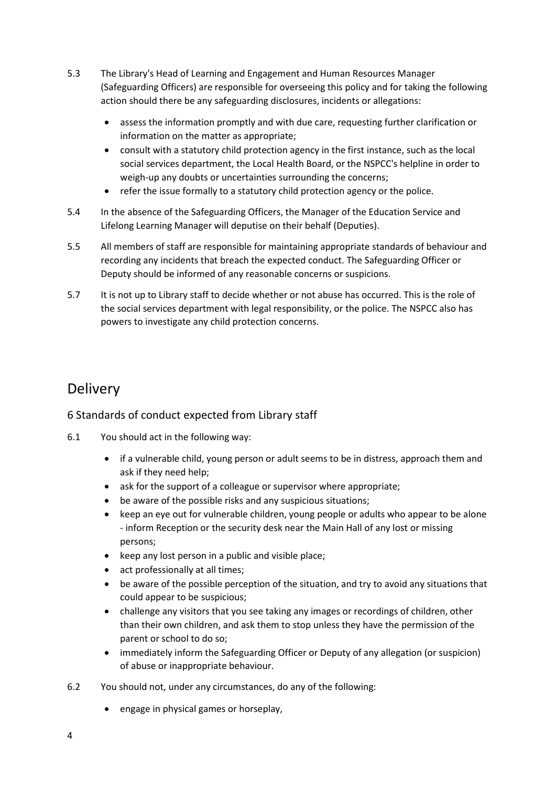- 5.3 The Library's Head of Learning and Engagement and Human Resources Manager (Safeguarding Officers) are responsible for overseeing this policy and for taking the following action should there be any safeguarding disclosures, incidents or allegations:
	- assess the information promptly and with due care, requesting further clarification or information on the matter as appropriate;
	- consult with a statutory child protection agency in the first instance, such as the local social services department, the Local Health Board, or the NSPCC's helpline in order to weigh-up any doubts or uncertainties surrounding the concerns;
	- refer the issue formally to a statutory child protection agency or the police.
- 5.4 In the absence of the Safeguarding Officers, the Manager of the Education Service and Lifelong Learning Manager will deputise on their behalf (Deputies).
- 5.5 All members of staff are responsible for maintaining appropriate standards of behaviour and recording any incidents that breach the expected conduct. The Safeguarding Officer or Deputy should be informed of any reasonable concerns or suspicions.
- 5.7 It is not up to Library staff to decide whether or not abuse has occurred. This is the role of the social services department with legal responsibility, or the police. The NSPCC also has powers to investigate any child protection concerns.

# Delivery

## 6 Standards of conduct expected from Library staff

- 6.1 You should act in the following way:
	- if a vulnerable child, young person or adult seems to be in distress, approach them and ask if they need help;
	- ask for the support of a colleague or supervisor where appropriate;
	- be aware of the possible risks and any suspicious situations;
	- keep an eye out for vulnerable children, young people or adults who appear to be alone - inform Reception or the security desk near the Main Hall of any lost or missing persons;
	- keep any lost person in a public and visible place;
	- act professionally at all times;
	- be aware of the possible perception of the situation, and try to avoid any situations that could appear to be suspicious;
	- challenge any visitors that you see taking any images or recordings of children, other than their own children, and ask them to stop unless they have the permission of the parent or school to do so;
	- immediately inform the Safeguarding Officer or Deputy of any allegation (or suspicion) of abuse or inappropriate behaviour.
- 6.2 You should not, under any circumstances, do any of the following:
	- engage in physical games or horseplay,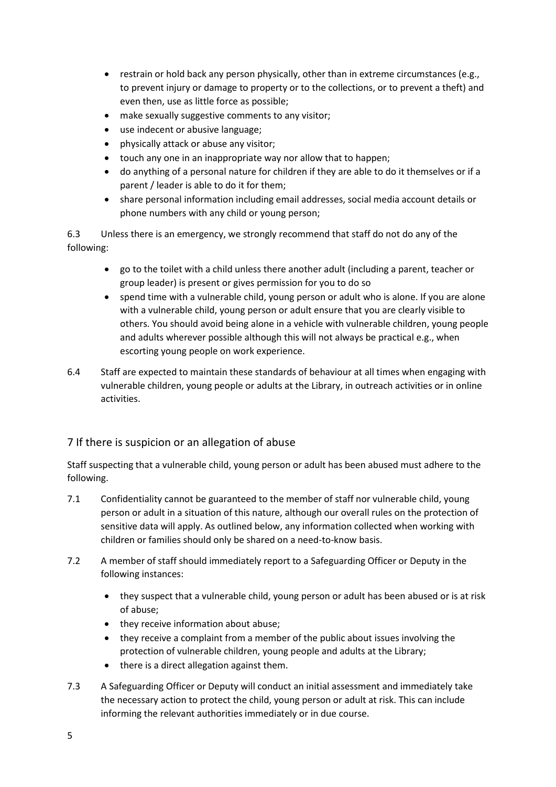- restrain or hold back any person physically, other than in extreme circumstances (e.g., to prevent injury or damage to property or to the collections, or to prevent a theft) and even then, use as little force as possible;
- make sexually suggestive comments to any visitor;
- use indecent or abusive language;
- physically attack or abuse any visitor;
- touch any one in an inappropriate way nor allow that to happen;
- do anything of a personal nature for children if they are able to do it themselves or if a parent / leader is able to do it for them;
- share personal information including email addresses, social media account details or phone numbers with any child or young person;

6.3 Unless there is an emergency, we strongly recommend that staff do not do any of the following:

- go to the toilet with a child unless there another adult (including a parent, teacher or group leader) is present or gives permission for you to do so
- spend time with a vulnerable child, young person or adult who is alone. If you are alone with a vulnerable child, young person or adult ensure that you are clearly visible to others. You should avoid being alone in a vehicle with vulnerable children, young people and adults wherever possible although this will not always be practical e.g., when escorting young people on work experience.
- 6.4 Staff are expected to maintain these standards of behaviour at all times when engaging with vulnerable children, young people or adults at the Library, in outreach activities or in online activities.

#### 7 If there is suspicion or an allegation of abuse

Staff suspecting that a vulnerable child, young person or adult has been abused must adhere to the following.

- 7.1 Confidentiality cannot be guaranteed to the member of staff nor vulnerable child, young person or adult in a situation of this nature, although our overall rules on the protection of sensitive data will apply. As outlined below, any information collected when working with children or families should only be shared on a need-to-know basis.
- 7.2 A member of staff should immediately report to a Safeguarding Officer or Deputy in the following instances:
	- they suspect that a vulnerable child, young person or adult has been abused or is at risk of abuse;
	- they receive information about abuse;
	- they receive a complaint from a member of the public about issues involving the protection of vulnerable children, young people and adults at the Library;
	- there is a direct allegation against them.
- 7.3 A Safeguarding Officer or Deputy will conduct an initial assessment and immediately take the necessary action to protect the child, young person or adult at risk. This can include informing the relevant authorities immediately or in due course.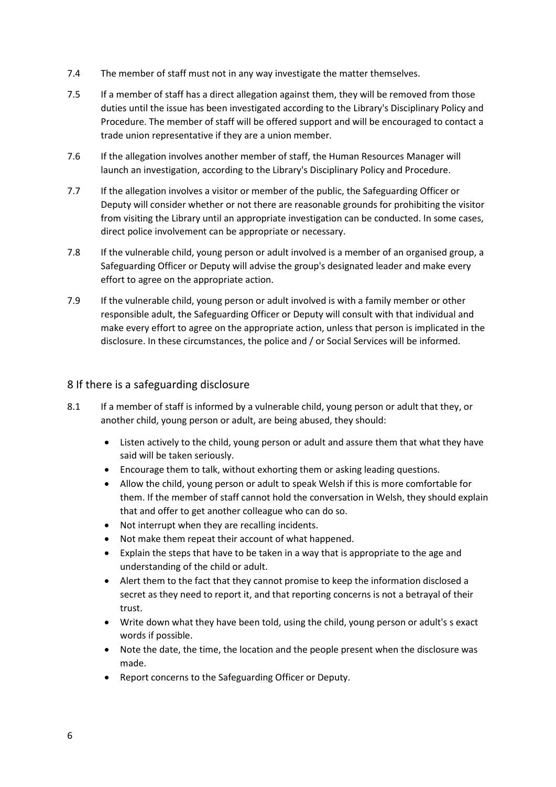- 7.4 The member of staff must not in any way investigate the matter themselves.
- 7.5 If a member of staff has a direct allegation against them, they will be removed from those duties until the issue has been investigated according to the Library's Disciplinary Policy and Procedure. The member of staff will be offered support and will be encouraged to contact a trade union representative if they are a union member.
- 7.6 If the allegation involves another member of staff, the Human Resources Manager will launch an investigation, according to the Library's Disciplinary Policy and Procedure.
- 7.7 If the allegation involves a visitor or member of the public, the Safeguarding Officer or Deputy will consider whether or not there are reasonable grounds for prohibiting the visitor from visiting the Library until an appropriate investigation can be conducted. In some cases, direct police involvement can be appropriate or necessary.
- 7.8 If the vulnerable child, young person or adult involved is a member of an organised group, a Safeguarding Officer or Deputy will advise the group's designated leader and make every effort to agree on the appropriate action.
- 7.9 If the vulnerable child, young person or adult involved is with a family member or other responsible adult, the Safeguarding Officer or Deputy will consult with that individual and make every effort to agree on the appropriate action, unless that person is implicated in the disclosure. In these circumstances, the police and / or Social Services will be informed.

#### 8 If there is a safeguarding disclosure

- 8.1 If a member of staff is informed by a vulnerable child, young person or adult that they, or another child, young person or adult, are being abused, they should:
	- Listen actively to the child, young person or adult and assure them that what they have said will be taken seriously.
	- Encourage them to talk, without exhorting them or asking leading questions.
	- Allow the child, young person or adult to speak Welsh if this is more comfortable for them. If the member of staff cannot hold the conversation in Welsh, they should explain that and offer to get another colleague who can do so.
	- Not interrupt when they are recalling incidents.
	- Not make them repeat their account of what happened.
	- Explain the steps that have to be taken in a way that is appropriate to the age and understanding of the child or adult.
	- Alert them to the fact that they cannot promise to keep the information disclosed a secret as they need to report it, and that reporting concerns is not a betrayal of their trust.
	- Write down what they have been told, using the child, young person or adult's s exact words if possible.
	- Note the date, the time, the location and the people present when the disclosure was made.
	- Report concerns to the Safeguarding Officer or Deputy.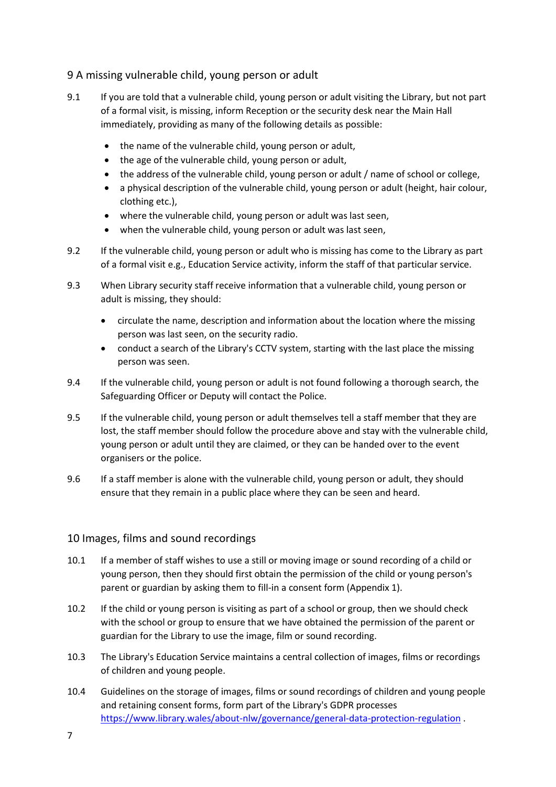#### 9 A missing vulnerable child, young person or adult

- 9.1 If you are told that a vulnerable child, young person or adult visiting the Library, but not part of a formal visit, is missing, inform Reception or the security desk near the Main Hall immediately, providing as many of the following details as possible:
	- the name of the vulnerable child, young person or adult,
	- the age of the vulnerable child, young person or adult,
	- the address of the vulnerable child, young person or adult / name of school or college,
	- a physical description of the vulnerable child, young person or adult (height, hair colour, clothing etc.),
	- where the vulnerable child, young person or adult was last seen,
	- when the vulnerable child, young person or adult was last seen,
- 9.2 If the vulnerable child, young person or adult who is missing has come to the Library as part of a formal visit e.g., Education Service activity, inform the staff of that particular service.
- 9.3 When Library security staff receive information that a vulnerable child, young person or adult is missing, they should:
	- circulate the name, description and information about the location where the missing person was last seen, on the security radio.
	- conduct a search of the Library's CCTV system, starting with the last place the missing person was seen.
- 9.4 If the vulnerable child, young person or adult is not found following a thorough search, the Safeguarding Officer or Deputy will contact the Police.
- 9.5 If the vulnerable child, young person or adult themselves tell a staff member that they are lost, the staff member should follow the procedure above and stay with the vulnerable child, young person or adult until they are claimed, or they can be handed over to the event organisers or the police.
- 9.6 If a staff member is alone with the vulnerable child, young person or adult, they should ensure that they remain in a public place where they can be seen and heard.

#### 10 Images, films and sound recordings

- 10.1 If a member of staff wishes to use a still or moving image or sound recording of a child or young person, then they should first obtain the permission of the child or young person's parent or guardian by asking them to fill-in a consent form (Appendix 1).
- 10.2 If the child or young person is visiting as part of a school or group, then we should check with the school or group to ensure that we have obtained the permission of the parent or guardian for the Library to use the image, film or sound recording.
- 10.3 The Library's Education Service maintains a central collection of images, films or recordings of children and young people.
- 10.4 Guidelines on the storage of images, films or sound recordings of children and young people and retaining consent forms, form part of the Library's GDPR processes [https://www.library.wales/about-nlw/governance/general-data-protection-regulation](https://www.llyfrgell.cymru/am-llgc/llywodraethiant/rheoliad-cyffredinol-gwarchod-data) .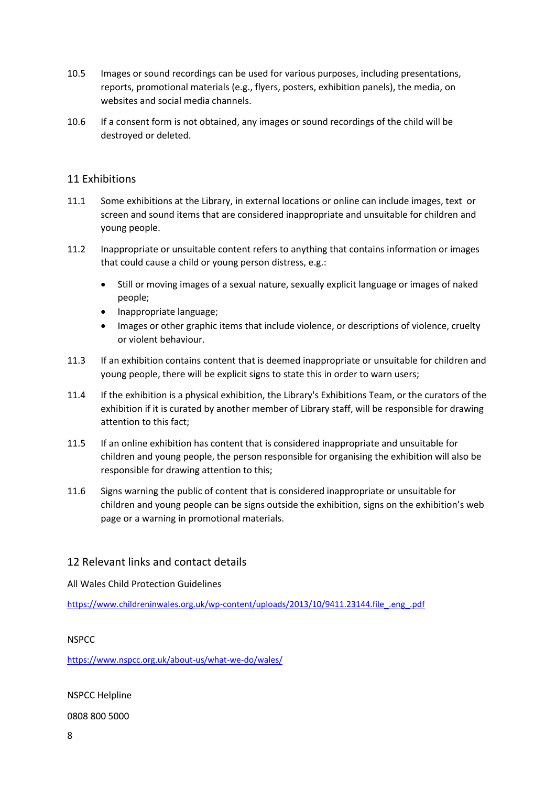- 10.5 Images or sound recordings can be used for various purposes, including presentations, reports, promotional materials (e.g., flyers, posters, exhibition panels), the media, on websites and social media channels.
- 10.6 If a consent form is not obtained, any images or sound recordings of the child will be destroyed or deleted.

#### 11 Exhibitions

- 11.1 Some exhibitions at the Library, in external locations or online can include images, text or screen and sound items that are considered inappropriate and unsuitable for children and young people.
- 11.2 Inappropriate or unsuitable content refers to anything that contains information or images that could cause a child or young person distress, e.g.:
	- Still or moving images of a sexual nature, sexually explicit language or images of naked people;
	- Inappropriate language;
	- Images or other graphic items that include violence, or descriptions of violence, cruelty or violent behaviour.
- 11.3 If an exhibition contains content that is deemed inappropriate or unsuitable for children and young people, there will be explicit signs to state this in order to warn users;
- 11.4 If the exhibition is a physical exhibition, the Library's Exhibitions Team, or the curators of the exhibition if it is curated by another member of Library staff, will be responsible for drawing attention to this fact;
- 11.5 If an online exhibition has content that is considered inappropriate and unsuitable for children and young people, the person responsible for organising the exhibition will also be responsible for drawing attention to this;
- 11.6 Signs warning the public of content that is considered inappropriate or unsuitable for children and young people can be signs outside the exhibition, signs on the exhibition's web page or a warning in promotional materials.

#### 12 Relevant links and contact details

All Wales Child Protection Guidelines

[https://www.childreninwales.org.uk/wp-content/uploads/2013/10/9411.23144.file\\_.eng\\_.pdf](https://www.childreninwales.org.uk/cy/polisi-document/canllawiau-amddiffyn-plant-cymru-gyfan-2008/)

#### NSPCC

[https://www.nspcc.org.uk/about-us/what-we-do/wales/](https://www.nspcc.org.uk/about-us/what-we-do/wales/cymru/)

NSPCC Helpline

0808 800 5000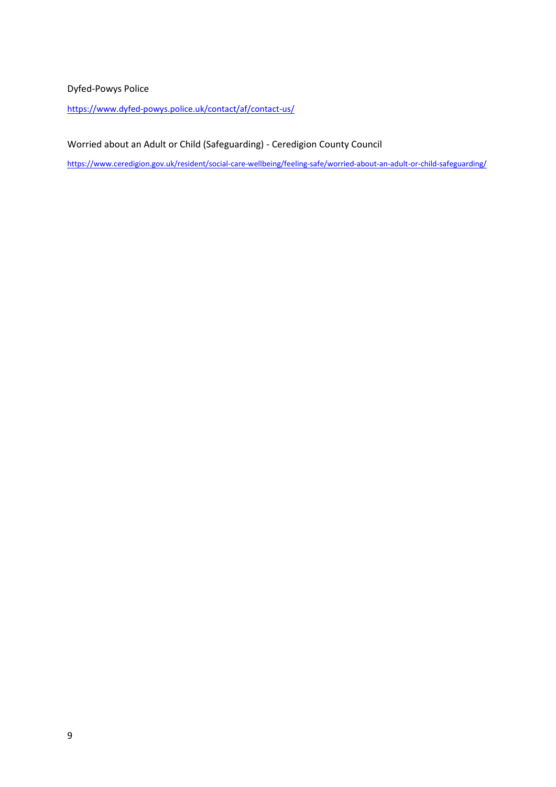#### Dyfed-Powys Police

[https://www.dyfed-powys.police.uk/contact/af/contact-us/](https://www.dyfed-powys.police.uk/cy/cysylltwch-a-ni/)

Worried about an Adult or Child (Safeguarding) - Ceredigion County Council

[https://www.ceredigion.gov.uk/resident/social-care-wellbeing/feeling-safe/worried-about-an-adult-or-child-safeguarding/](https://www.ceredigion.gov.uk/preswyliwr/lles-a-gofal/teimlon-ddiogel/poeni-am-oedolyn-neu-blentyn-diogelu/)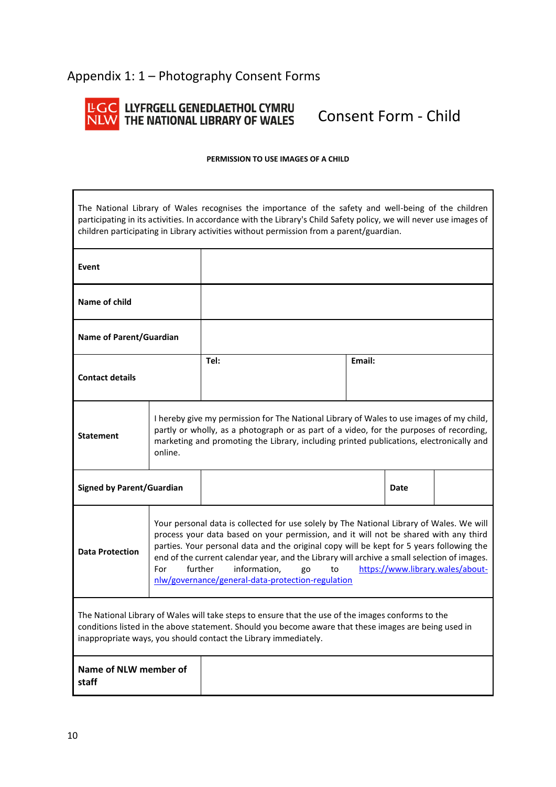# Appendix 1: 1 – Photography Consent Forms



# LLYFRGELL GENEDLAETHOL CYMRU<br>THE NATIONAL LIBRARY OF WALES

Consent Form - Child

#### **PERMISSION TO USE IMAGES OF A CHILD**

The National Library of Wales recognises the importance of the safety and well-being of the children participating in its activities. In accordance with the Library's Child Safety policy, we will never use images of children participating in Library activities without permission from a parent/guardian.

| Event                                                                                                                                                                                                                                                                          |                                                                                                                                                                                                                                                                                           |                                                                                                                                                                                                                                                                                                                                                                                                                                                                                                             |        |      |  |
|--------------------------------------------------------------------------------------------------------------------------------------------------------------------------------------------------------------------------------------------------------------------------------|-------------------------------------------------------------------------------------------------------------------------------------------------------------------------------------------------------------------------------------------------------------------------------------------|-------------------------------------------------------------------------------------------------------------------------------------------------------------------------------------------------------------------------------------------------------------------------------------------------------------------------------------------------------------------------------------------------------------------------------------------------------------------------------------------------------------|--------|------|--|
| Name of child                                                                                                                                                                                                                                                                  |                                                                                                                                                                                                                                                                                           |                                                                                                                                                                                                                                                                                                                                                                                                                                                                                                             |        |      |  |
| <b>Name of Parent/Guardian</b>                                                                                                                                                                                                                                                 |                                                                                                                                                                                                                                                                                           |                                                                                                                                                                                                                                                                                                                                                                                                                                                                                                             |        |      |  |
| <b>Contact details</b>                                                                                                                                                                                                                                                         |                                                                                                                                                                                                                                                                                           | Tel:                                                                                                                                                                                                                                                                                                                                                                                                                                                                                                        | Email: |      |  |
| <b>Statement</b>                                                                                                                                                                                                                                                               | I hereby give my permission for The National Library of Wales to use images of my child,<br>partly or wholly, as a photograph or as part of a video, for the purposes of recording,<br>marketing and promoting the Library, including printed publications, electronically and<br>online. |                                                                                                                                                                                                                                                                                                                                                                                                                                                                                                             |        |      |  |
| <b>Signed by Parent/Guardian</b>                                                                                                                                                                                                                                               |                                                                                                                                                                                                                                                                                           |                                                                                                                                                                                                                                                                                                                                                                                                                                                                                                             |        | Date |  |
| <b>Data Protection</b>                                                                                                                                                                                                                                                         | For                                                                                                                                                                                                                                                                                       | Your personal data is collected for use solely by The National Library of Wales. We will<br>process your data based on your permission, and it will not be shared with any third<br>parties. Your personal data and the original copy will be kept for 5 years following the<br>end of the current calendar year, and the Library will archive a small selection of images.<br>https://www.library.wales/about-<br>further<br>information.<br>go<br>to<br>nlw/governance/general-data-protection-regulation |        |      |  |
| The National Library of Wales will take steps to ensure that the use of the images conforms to the<br>conditions listed in the above statement. Should you become aware that these images are being used in<br>inappropriate ways, you should contact the Library immediately. |                                                                                                                                                                                                                                                                                           |                                                                                                                                                                                                                                                                                                                                                                                                                                                                                                             |        |      |  |
| Name of NLW member of<br>staff                                                                                                                                                                                                                                                 |                                                                                                                                                                                                                                                                                           |                                                                                                                                                                                                                                                                                                                                                                                                                                                                                                             |        |      |  |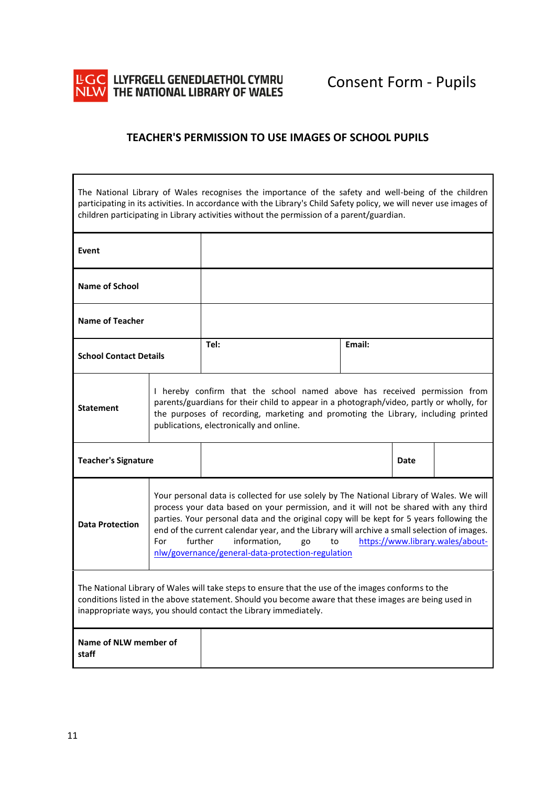

#### **TEACHER'S PERMISSION TO USE IMAGES OF SCHOOL PUPILS**

The National Library of Wales recognises the importance of the safety and well-being of the children participating in its activities. In accordance with the Library's Child Safety policy, we will never use images of children participating in Library activities without the permission of a parent/guardian.

| Event                                                                                                                                                                                                                                                                                                                                                                                                                                                                                                                                        |                                                                                                                                                                                                                                                                                                        |                |  |      |  |  |  |
|----------------------------------------------------------------------------------------------------------------------------------------------------------------------------------------------------------------------------------------------------------------------------------------------------------------------------------------------------------------------------------------------------------------------------------------------------------------------------------------------------------------------------------------------|--------------------------------------------------------------------------------------------------------------------------------------------------------------------------------------------------------------------------------------------------------------------------------------------------------|----------------|--|------|--|--|--|
| <b>Name of School</b>                                                                                                                                                                                                                                                                                                                                                                                                                                                                                                                        |                                                                                                                                                                                                                                                                                                        |                |  |      |  |  |  |
| <b>Name of Teacher</b>                                                                                                                                                                                                                                                                                                                                                                                                                                                                                                                       |                                                                                                                                                                                                                                                                                                        |                |  |      |  |  |  |
| <b>School Contact Details</b>                                                                                                                                                                                                                                                                                                                                                                                                                                                                                                                |                                                                                                                                                                                                                                                                                                        | Tel:<br>Email: |  |      |  |  |  |
| <b>Statement</b>                                                                                                                                                                                                                                                                                                                                                                                                                                                                                                                             | I hereby confirm that the school named above has received permission from<br>parents/guardians for their child to appear in a photograph/video, partly or wholly, for<br>the purposes of recording, marketing and promoting the Library, including printed<br>publications, electronically and online. |                |  |      |  |  |  |
| <b>Teacher's Signature</b>                                                                                                                                                                                                                                                                                                                                                                                                                                                                                                                   |                                                                                                                                                                                                                                                                                                        |                |  | Date |  |  |  |
| Your personal data is collected for use solely by The National Library of Wales. We will<br>process your data based on your permission, and it will not be shared with any third<br>parties. Your personal data and the original copy will be kept for 5 years following the<br><b>Data Protection</b><br>end of the current calendar year, and the Library will archive a small selection of images.<br>further<br>information,<br>https://www.library.wales/about-<br>For<br>go<br>to<br>nlw/governance/general-data-protection-regulation |                                                                                                                                                                                                                                                                                                        |                |  |      |  |  |  |
| The National Library of Wales will take steps to ensure that the use of the images conforms to the<br>conditions listed in the above statement. Should you become aware that these images are being used in<br>inappropriate ways, you should contact the Library immediately.                                                                                                                                                                                                                                                               |                                                                                                                                                                                                                                                                                                        |                |  |      |  |  |  |
| Name of NLW member of<br>staff                                                                                                                                                                                                                                                                                                                                                                                                                                                                                                               |                                                                                                                                                                                                                                                                                                        |                |  |      |  |  |  |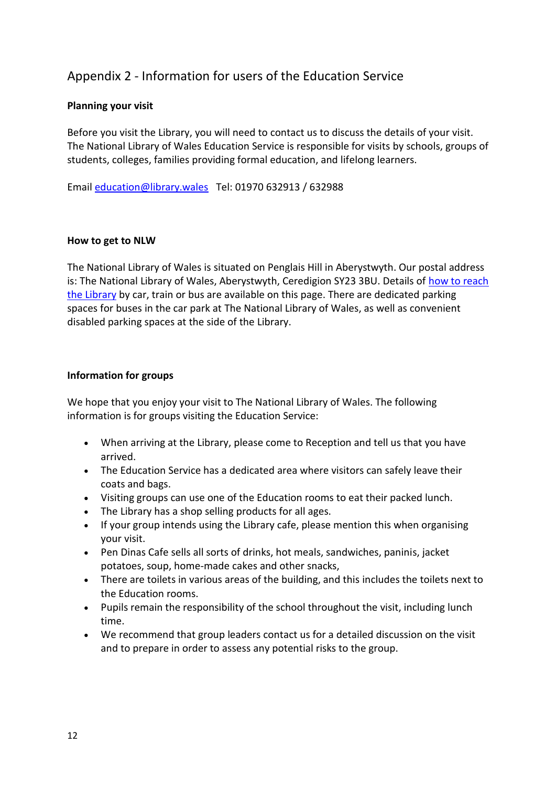# Appendix 2 - Information for users of the Education Service

#### **Planning your visit**

Before you visit the Library, you will need to contact us to discuss the details of your visit. The National Library of Wales Education Service is responsible for visits by schools, groups of students, colleges, families providing formal education, and lifelong learners.

Email [education@library.wales](mailto:addysg@llyfrgell.cymru) Tel: 01970 632913 / 632988

#### **How to get to NLW**

The National Library of Wales is situated on Penglais Hill in Aberystwyth. Our postal address is: The National Library of Wales, Aberystwyth, Ceredigion SY23 3BU. Details of how to reach [the Library](https://www.llyfrgell.cymru/ymweld-a-ni/cyn-ymweld/sut-i-gyrraedd-llgc) by car, train or bus are available on this page. There are dedicated parking spaces for buses in the car park at The National Library of Wales, as well as convenient disabled parking spaces at the side of the Library.

#### **Information for groups**

We hope that you enjoy your visit to The National Library of Wales. The following information is for groups visiting the Education Service:

- When arriving at the Library, please come to Reception and tell us that you have arrived.
- The Education Service has a dedicated area where visitors can safely leave their coats and bags.
- Visiting groups can use one of the Education rooms to eat their packed lunch.
- The Library has a shop selling products for all ages.
- If your group intends using the Library cafe, please mention this when organising your visit.
- Pen Dinas Cafe sells all sorts of drinks, hot meals, sandwiches, paninis, jacket potatoes, soup, home-made cakes and other snacks,
- There are toilets in various areas of the building, and this includes the toilets next to the Education rooms.
- Pupils remain the responsibility of the school throughout the visit, including lunch time.
- We recommend that group leaders contact us for a detailed discussion on the visit and to prepare in order to assess any potential risks to the group.